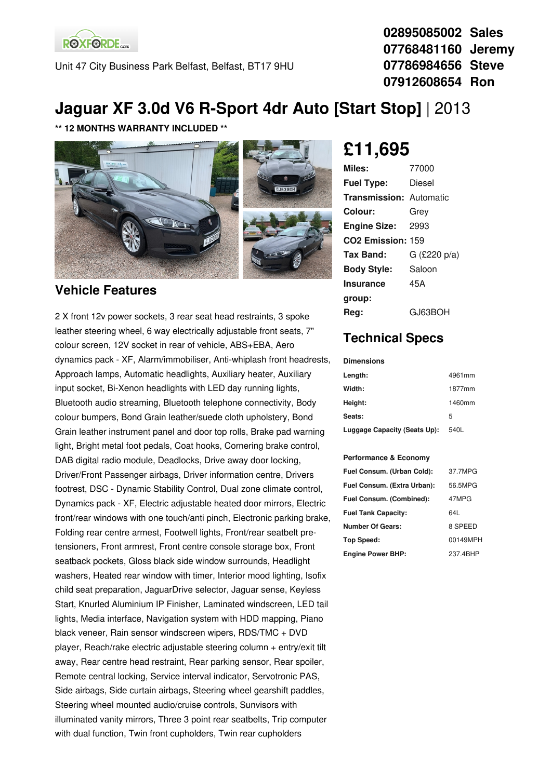**ROXFORDE**<sub>cars</sub>

Unit 47 City Business Park Belfast, Belfast, BT17 9HU

**02895085002 Sales 07768481160 Jeremy 07786984656 Steve 07912608654 Ron**

## **Jaguar XF 3.0d V6 R-Sport 4dr Auto [Start Stop]** | 2013

**\*\* 12 MONTHS WARRANTY INCLUDED \*\***



#### **Vehicle Features**

2 X front 12v power sockets, 3 rear seat head restraints, 3 spoke leather steering wheel, 6 way electrically adjustable front seats, 7" colour screen, 12V socket in rear of vehicle, ABS+EBA, Aero dynamics pack - XF, Alarm/immobiliser, Anti-whiplash front headrests, Approach lamps, Automatic headlights, Auxiliary heater, Auxiliary input socket, Bi-Xenon headlights with LED day running lights, Bluetooth audio streaming, Bluetooth telephone connectivity, Body colour bumpers, Bond Grain leather/suede cloth upholstery, Bond Grain leather instrument panel and door top rolls, Brake pad warning light, Bright metal foot pedals, Coat hooks, Cornering brake control, DAB digital radio module, Deadlocks, Drive away door locking, Driver/Front Passenger airbags, Driver information centre, Drivers footrest, DSC - Dynamic Stability Control, Dual zone climate control, Dynamics pack - XF, Electric adjustable heated door mirrors, Electric front/rear windows with one touch/anti pinch, Electronic parking brake, Folding rear centre armest, Footwell lights, Front/rear seatbelt pretensioners, Front armrest, Front centre console storage box, Front seatback pockets, Gloss black side window surrounds, Headlight washers, Heated rear window with timer, Interior mood lighting, Isofix child seat preparation, JaguarDrive selector, Jaguar sense, Keyless Start, Knurled Aluminium IP Finisher, Laminated windscreen, LED tail lights, Media interface, Navigation system with HDD mapping, Piano black veneer, Rain sensor windscreen wipers, RDS/TMC + DVD player, Reach/rake electric adjustable steering column + entry/exit tilt away, Rear centre head restraint, Rear parking sensor, Rear spoiler, Remote central locking, Service interval indicator, Servotronic PAS, Side airbags, Side curtain airbags, Steering wheel gearshift paddles, Steering wheel mounted audio/cruise controls, Sunvisors with illuminated vanity mirrors, Three 3 point rear seatbelts, Trip computer with dual function, Twin front cupholders, Twin rear cupholders

# **£11,695**

| 77000                          |
|--------------------------------|
| Diesel                         |
| <b>Transmission: Automatic</b> |
| Grey                           |
| 2993                           |
| CO <sub>2</sub> Emission: 159  |
| $G$ (£220 p/a)                 |
| Saloon                         |
| 45A                            |
|                                |
| GJ63BOH                        |
|                                |

### **Technical Specs**

**Dimensions**

| Length:                      | 4961mm |
|------------------------------|--------|
| Width:                       | 1877mm |
| Height:                      | 1460mm |
| Seats:                       | 5      |
| Luggage Capacity (Seats Up): | 540L   |

#### **Performance & Economy**

| Fuel Consum. (Urban Cold):  | 37.7MPG  |
|-----------------------------|----------|
| Fuel Consum. (Extra Urban): | 56.5MPG  |
| Fuel Consum. (Combined):    | 47MPG    |
| <b>Fuel Tank Capacity:</b>  | 64L      |
| <b>Number Of Gears:</b>     | 8 SPEED  |
| <b>Top Speed:</b>           | 00149MPH |
| <b>Engine Power BHP:</b>    | 237.4BHP |